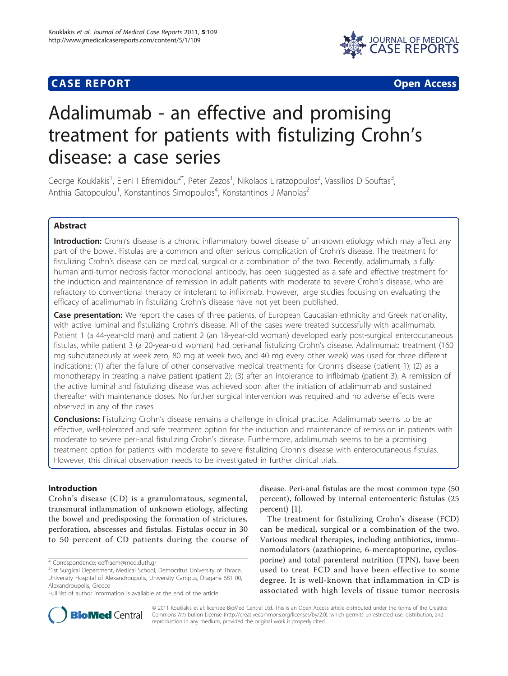# **CASE REPORT CASE REPORT CASE ACCESS**



# Adalimumab - an effective and promising treatment for patients with fistulizing Crohn's disease: a case series

George Kouklakis<sup>1</sup>, Eleni I Efremidou<sup>2\*</sup>, Peter Zezos<sup>1</sup>, Nikolaos Liratzopoulos<sup>2</sup>, Vassilios D Souftas<sup>3</sup> , Anthia Gatopoulou<sup>1</sup>, Konstantinos Simopoulos<sup>4</sup>, Konstantinos J Manolas<sup>2</sup>

# Abstract

Introduction: Crohn's disease is a chronic inflammatory bowel disease of unknown etiology which may affect any part of the bowel. Fistulas are a common and often serious complication of Crohn's disease. The treatment for fistulizing Crohn's disease can be medical, surgical or a combination of the two. Recently, adalimumab, a fully human anti-tumor necrosis factor monoclonal antibody, has been suggested as a safe and effective treatment for the induction and maintenance of remission in adult patients with moderate to severe Crohn's disease, who are refractory to conventional therapy or intolerant to infliximab. However, large studies focusing on evaluating the efficacy of adalimumab in fistulizing Crohn's disease have not yet been published.

Case presentation: We report the cases of three patients, of European Caucasian ethnicity and Greek nationality, with active luminal and fistulizing Crohn's disease. All of the cases were treated successfully with adalimumab. Patient 1 (a 44-year-old man) and patient 2 (an 18-year-old woman) developed early post-surgical enterocutaneous fistulas, while patient 3 (a 20-year-old woman) had peri-anal fistulizing Crohn's disease. Adalimumab treatment (160 mg subcutaneously at week zero, 80 mg at week two, and 40 mg every other week) was used for three different indications: (1) after the failure of other conservative medical treatments for Crohn's disease (patient 1); (2) as a monotherapy in treating a naive patient (patient 2); (3) after an intolerance to infliximab (patient 3). A remission of the active luminal and fistulizing disease was achieved soon after the initiation of adalimumab and sustained thereafter with maintenance doses. No further surgical intervention was required and no adverse effects were observed in any of the cases.

**Conclusions:** Fistulizing Crohn's disease remains a challenge in clinical practice. Adalimumab seems to be an effective, well-tolerated and safe treatment option for the induction and maintenance of remission in patients with moderate to severe peri-anal fistulizing Crohn's disease. Furthermore, adalimumab seems to be a promising treatment option for patients with moderate to severe fistulizing Crohn's disease with enterocutaneous fistulas. However, this clinical observation needs to be investigated in further clinical trials.

# Introduction

Crohn's disease (CD) is a granulomatous, segmental, transmural inflammation of unknown etiology, affecting the bowel and predisposing the formation of strictures, perforation, abscesses and fistulas. Fistulas occur in 30 to 50 percent of CD patients during the course of

\* Correspondence: [eeffraem@med.duth.gr](mailto:eeffraem@med.duth.gr)

disease. Peri-anal fistulas are the most common type (50 percent), followed by internal enteroenteric fistulas (25 percent) [[1\]](#page-5-0).

The treatment for fistulizing Crohn's disease (FCD) can be medical, surgical or a combination of the two. Various medical therapies, including antibiotics, immunomodulators (azathioprine, 6-mercaptopurine, cyclosporine) and total parenteral nutrition (TPN), have been used to treat FCD and have been effective to some degree. It is well-known that inflammation in CD is associated with high levels of tissue tumor necrosis



© 2011 Kouklakis et al; licensee BioMed Central Ltd. This is an Open Access article distributed under the terms of the Creative Commons Attribution License [\(http://creativecommons.org/licenses/by/2.0](http://creativecommons.org/licenses/by/2.0)), which permits unrestricted use, distribution, and reproduction in any medium, provided the original work is properly cited.

<sup>&</sup>lt;sup>2</sup>1st Surgical Department, Medical School, Democritus University of Thrace, University Hospital of Alexandroupolis, University Campus, Dragana 681 00, Alexandroupolis, Greece

Full list of author information is available at the end of the article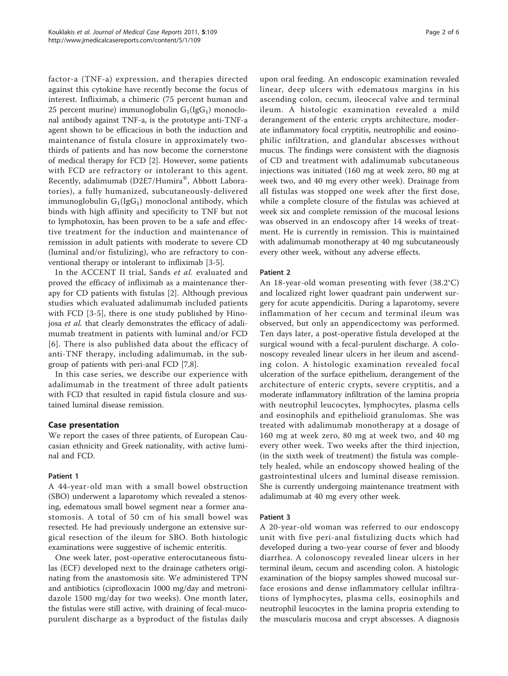factor-a (TNF-a) expression, and therapies directed against this cytokine have recently become the focus of interest. Infliximab, a chimeric (75 percent human and 25 percent murine) immunoglobulin  $G_1(IgG_1)$  monoclonal antibody against TNF-a, is the prototype anti-TNF-a agent shown to be efficacious in both the induction and maintenance of fistula closure in approximately twothirds of patients and has now become the cornerstone of medical therapy for FCD [[2\]](#page-5-0). However, some patients with FCD are refractory or intolerant to this agent. Recently, adalimumab (D2E7/Humira®, Abbott Laboratories), a fully humanized, subcutaneously-delivered immunoglobulin  $G_1(IGG_1)$  monoclonal antibody, which binds with high affinity and specificity to TNF but not to lymphotoxin, has been proven to be a safe and effective treatment for the induction and maintenance of remission in adult patients with moderate to severe CD (luminal and/or fistulizing), who are refractory to conventional therapy or intolerant to infliximab [[3](#page-5-0)-[5\]](#page-5-0).

In the ACCENT II trial, Sands et al. evaluated and proved the efficacy of infliximab as a maintenance therapy for CD patients with fistulas [[2\]](#page-5-0). Although previous studies which evaluated adalimumab included patients with FCD [[3-5\]](#page-5-0), there is one study published by Hinojosa et al. that clearly demonstrates the efficacy of adalimumab treatment in patients with luminal and/or FCD [[6](#page-5-0)]. There is also published data about the efficacy of anti-TNF therapy, including adalimumab, in the subgroup of patients with peri-anal FCD [[7,8\]](#page-5-0).

In this case series, we describe our experience with adalimumab in the treatment of three adult patients with FCD that resulted in rapid fistula closure and sustained luminal disease remission.

# Case presentation

We report the cases of three patients, of European Caucasian ethnicity and Greek nationality, with active luminal and FCD.

#### Patient 1

A 44-year-old man with a small bowel obstruction (SBO) underwent a laparotomy which revealed a stenosing, edematous small bowel segment near a former anastomosis. A total of 50 cm of his small bowel was resected. He had previously undergone an extensive surgical resection of the ileum for SBO. Both histologic examinations were suggestive of ischemic enteritis.

One week later, post-operative enterocutaneous fistulas (ECF) developed next to the drainage catheters originating from the anastomosis site. We administered TPN and antibiotics (ciprofloxacin 1000 mg/day and metronidazole 1500 mg/day for two weeks). One month later, the fistulas were still active, with draining of fecal-mucopurulent discharge as a byproduct of the fistulas daily

upon oral feeding. An endoscopic examination revealed linear, deep ulcers with edematous margins in his ascending colon, cecum, ileocecal valve and terminal ileum. A histologic examination revealed a mild derangement of the enteric crypts architecture, moderate inflammatory focal cryptitis, neutrophilic and eosinophilic infiltration, and glandular abscesses without mucus. The findings were consistent with the diagnosis of CD and treatment with adalimumab subcutaneous injections was initiated (160 mg at week zero, 80 mg at week two, and 40 mg every other week). Drainage from all fistulas was stopped one week after the first dose, while a complete closure of the fistulas was achieved at week six and complete remission of the mucosal lesions was observed in an endoscopy after 14 weeks of treatment. He is currently in remission. This is maintained with adalimumab monotherapy at 40 mg subcutaneously every other week, without any adverse effects.

# Patient 2

An 18-year-old woman presenting with fever (38.2°C) and localized right lower quadrant pain underwent surgery for acute appendicitis. During a laparotomy, severe inflammation of her cecum and terminal ileum was observed, but only an appendicectomy was performed. Ten days later, a post-operative fistula developed at the surgical wound with a fecal-purulent discharge. A colonoscopy revealed linear ulcers in her ileum and ascending colon. A histologic examination revealed focal ulceration of the surface epithelium, derangement of the architecture of enteric crypts, severe cryptitis, and a moderate inflammatory infiltration of the lamina propria with neutrophil leucocytes, lymphocytes, plasma cells and eosinophils and epithelioid granulomas. She was treated with adalimumab monotherapy at a dosage of 160 mg at week zero, 80 mg at week two, and 40 mg every other week. Two weeks after the third injection, (in the sixth week of treatment) the fistula was completely healed, while an endoscopy showed healing of the gastrointestinal ulcers and luminal disease remission. She is currently undergoing maintenance treatment with adalimumab at 40 mg every other week.

#### Patient 3

A 20-year-old woman was referred to our endoscopy unit with five peri-anal fistulizing ducts which had developed during a two-year course of fever and bloody diarrhea. A colonoscopy revealed linear ulcers in her terminal ileum, cecum and ascending colon. A histologic examination of the biopsy samples showed mucosal surface erosions and dense inflammatory cellular infiltrations of lymphocytes, plasma cells, eosinophils and neutrophil leucocytes in the lamina propria extending to the muscularis mucosa and crypt abscesses. A diagnosis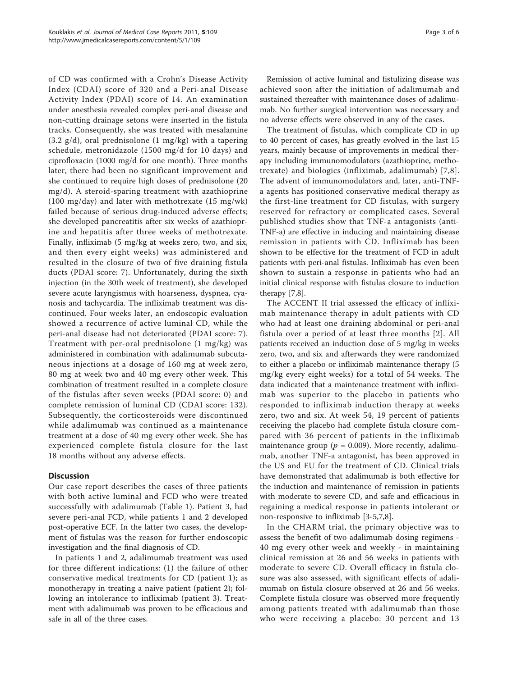of CD was confirmed with a Crohn's Disease Activity Index (CDAI) score of 320 and a Peri-anal Disease Activity Index (PDAI) score of 14. An examination under anesthesia revealed complex peri-anal disease and non-cutting drainage setons were inserted in the fistula tracks. Consequently, she was treated with mesalamine  $(3.2 \text{ g/d})$ , oral prednisolone  $(1 \text{ mg/kg})$  with a tapering schedule, metronidazole (1500 mg/d for 10 days) and ciprofloxacin (1000 mg/d for one month). Three months later, there had been no significant improvement and she continued to require high doses of prednisolone (20 mg/d). A steroid-sparing treatment with azathioprine (100 mg/day) and later with methotrexate (15 mg/wk) failed because of serious drug-induced adverse effects; she developed pancreatitis after six weeks of azathioprine and hepatitis after three weeks of methotrexate. Finally, infliximab (5 mg/kg at weeks zero, two, and six, and then every eight weeks) was administered and resulted in the closure of two of five draining fistula ducts (PDAI score: 7). Unfortunately, during the sixth injection (in the 30th week of treatment), she developed severe acute laryngismus with hoarseness, dyspnea, cyanosis and tachycardia. The infliximab treatment was discontinued. Four weeks later, an endoscopic evaluation showed a recurrence of active luminal CD, while the peri-anal disease had not deteriorated (PDAI score: 7). Treatment with per-oral prednisolone (1 mg/kg) was administered in combination with adalimumab subcutaneous injections at a dosage of 160 mg at week zero, 80 mg at week two and 40 mg every other week. This combination of treatment resulted in a complete closure of the fistulas after seven weeks (PDAI score: 0) and complete remission of luminal CD (CDAI score: 132). Subsequently, the corticosteroids were discontinued while adalimumab was continued as a maintenance treatment at a dose of 40 mg every other week. She has experienced complete fistula closure for the last 18 months without any adverse effects.

# **Discussion**

Our case report describes the cases of three patients with both active luminal and FCD who were treated successfully with adalimumab (Table [1](#page-3-0)). Patient 3, had severe peri-anal FCD, while patients 1 and 2 developed post-operative ECF. In the latter two cases, the development of fistulas was the reason for further endoscopic investigation and the final diagnosis of CD.

In patients 1 and 2, adalimumab treatment was used for three different indications: (1) the failure of other conservative medical treatments for CD (patient 1); as monotherapy in treating a naive patient (patient 2); following an intolerance to infliximab (patient 3). Treatment with adalimumab was proven to be efficacious and safe in all of the three cases.

Remission of active luminal and fistulizing disease was achieved soon after the initiation of adalimumab and sustained thereafter with maintenance doses of adalimumab. No further surgical intervention was necessary and no adverse effects were observed in any of the cases.

The treatment of fistulas, which complicate CD in up to 40 percent of cases, has greatly evolved in the last 15 years, mainly because of improvements in medical therapy including immunomodulators (azathioprine, methotrexate) and biologics (infliximab, adalimumab) [[7](#page-5-0),[8\]](#page-5-0). The advent of immunomodulators and, later, anti-TNFa agents has positioned conservative medical therapy as the first-line treatment for CD fistulas, with surgery reserved for refractory or complicated cases. Several published studies show that TNF-a antagonists (anti-TNF-a) are effective in inducing and maintaining disease remission in patients with CD. Infliximab has been shown to be effective for the treatment of FCD in adult patients with peri-anal fistulas. Infliximab has even been shown to sustain a response in patients who had an initial clinical response with fistulas closure to induction therapy [[7](#page-5-0),[8](#page-5-0)].

The ACCENT II trial assessed the efficacy of infliximab maintenance therapy in adult patients with CD who had at least one draining abdominal or peri-anal fistula over a period of at least three months [[2](#page-5-0)]. All patients received an induction dose of 5 mg/kg in weeks zero, two, and six and afterwards they were randomized to either a placebo or infliximab maintenance therapy (5 mg/kg every eight weeks) for a total of 54 weeks. The data indicated that a maintenance treatment with infliximab was superior to the placebo in patients who responded to infliximab induction therapy at weeks zero, two and six. At week 54, 19 percent of patients receiving the placebo had complete fistula closure compared with 36 percent of patients in the infliximab maintenance group ( $p = 0.009$ ). More recently, adalimumab, another TNF-a antagonist, has been approved in the US and EU for the treatment of CD. Clinical trials have demonstrated that adalimumab is both effective for the induction and maintenance of remission in patients with moderate to severe CD, and safe and efficacious in regaining a medical response in patients intolerant or non-responsive to infliximab [[3-5,7,8](#page-5-0)].

In the CHARM trial, the primary objective was to assess the benefit of two adalimumab dosing regimens - 40 mg every other week and weekly - in maintaining clinical remission at 26 and 56 weeks in patients with moderate to severe CD. Overall efficacy in fistula closure was also assessed, with significant effects of adalimumab on fistula closure observed at 26 and 56 weeks. Complete fistula closure was observed more frequently among patients treated with adalimumab than those who were receiving a placebo: 30 percent and 13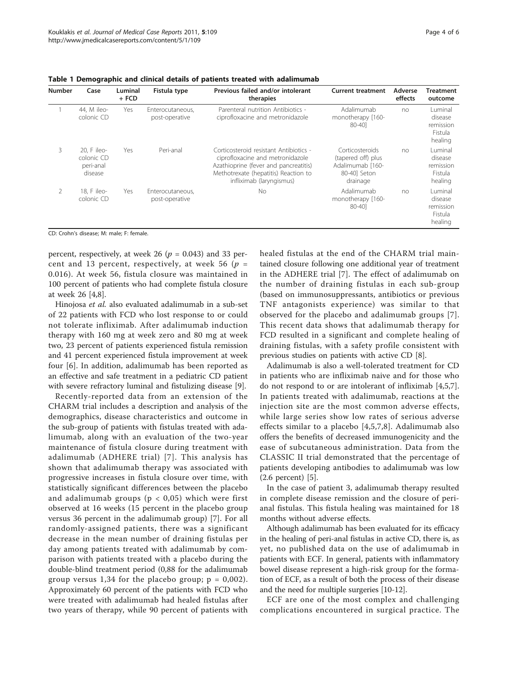| <b>Number</b>  | Case                                              | Luminal<br>$+$ FCD | Fistula type                       | Previous failed and/or intolerant<br>therapies                                                                                                                                          | <b>Current treatment</b>                                                              | Adverse<br>effects | <b>Treatment</b><br>outcome                           |
|----------------|---------------------------------------------------|--------------------|------------------------------------|-----------------------------------------------------------------------------------------------------------------------------------------------------------------------------------------|---------------------------------------------------------------------------------------|--------------------|-------------------------------------------------------|
|                | 44, M ileo-<br>colonic CD                         | Yes                | Enterocutaneous.<br>post-operative | Parenteral nutrition Antibiotics -<br>ciprofloxacine and metronidazole                                                                                                                  | Adalimumab<br>monotherapy [160-<br>80-401                                             | no                 | Luminal<br>disease<br>remission<br>Fistula<br>healing |
| 3              | 20. F ileo-<br>colonic CD<br>peri-anal<br>disease | Yes                | Peri-anal                          | Corticosteroid resistant Antibiotics -<br>ciprofloxacine and metronidazole<br>Azathioprine (fever and pancreatitis)<br>Methotrexate (hepatitis) Reaction to<br>infliximab (laryngismus) | Corticosteroids<br>(tapered off) plus<br>Adalimumab [160-<br>80-401 Seton<br>drainage | no                 | Luminal<br>disease<br>remission<br>Fistula<br>healing |
| $\overline{2}$ | 18. F ileo-<br>colonic CD                         | Yes                | Enterocutaneous.<br>post-operative | No                                                                                                                                                                                      | Adalimumab<br>monotherapy [160-<br>80-401                                             | no                 | Luminal<br>disease<br>remission<br>Fistula<br>healing |

<span id="page-3-0"></span>Table 1 Demographic and clinical details of patients treated with adalimumab

CD: Crohn's disease; M: male; F: female.

percent, respectively, at week 26 ( $p = 0.043$ ) and 33 percent and 13 percent, respectively, at week 56 ( $p =$ 0.016). At week 56, fistula closure was maintained in 100 percent of patients who had complete fistula closure at week 26 [\[4,8](#page-5-0)].

Hinojosa et al. also evaluated adalimumab in a sub-set of 22 patients with FCD who lost response to or could not tolerate infliximab. After adalimumab induction therapy with 160 mg at week zero and 80 mg at week two, 23 percent of patients experienced fistula remission and 41 percent experienced fistula improvement at week four [[6\]](#page-5-0). In addition, adalimumab has been reported as an effective and safe treatment in a pediatric CD patient with severe refractory luminal and fistulizing disease [[9\]](#page-5-0).

Recently-reported data from an extension of the CHARM trial includes a description and analysis of the demographics, disease characteristics and outcome in the sub-group of patients with fistulas treated with adalimumab, along with an evaluation of the two-year maintenance of fistula closure during treatment with adalimumab (ADHERE trial) [[7](#page-5-0)]. This analysis has shown that adalimumab therapy was associated with progressive increases in fistula closure over time, with statistically significant differences between the placebo and adalimumab groups ( $p < 0.05$ ) which were first observed at 16 weeks (15 percent in the placebo group versus 36 percent in the adalimumab group) [[7\]](#page-5-0). For all randomly-assigned patients, there was a significant decrease in the mean number of draining fistulas per day among patients treated with adalimumab by comparison with patients treated with a placebo during the double-blind treatment period (0,88 for the adalimumab group versus 1,34 for the placebo group;  $p = 0.002$ ). Approximately 60 percent of the patients with FCD who were treated with adalimumab had healed fistulas after two years of therapy, while 90 percent of patients with healed fistulas at the end of the CHARM trial maintained closure following one additional year of treatment in the ADHERE trial [\[7](#page-5-0)]. The effect of adalimumab on the number of draining fistulas in each sub-group (based on immunosuppressants, antibiotics or previous TNF antagonists experience) was similar to that observed for the placebo and adalimumab groups [[7](#page-5-0)]. This recent data shows that adalimumab therapy for FCD resulted in a significant and complete healing of draining fistulas, with a safety profile consistent with previous studies on patients with active CD [\[8](#page-5-0)].

Adalimumab is also a well-tolerated treatment for CD in patients who are infliximab naive and for those who do not respond to or are intolerant of infliximab [\[4,5,7](#page-5-0)]. In patients treated with adalimumab, reactions at the injection site are the most common adverse effects, while large series show low rates of serious adverse effects similar to a placebo [\[4,5,7](#page-5-0),[8\]](#page-5-0). Adalimumab also offers the benefits of decreased immunogenicity and the ease of subcutaneous administration. Data from the CLASSIC II trial demonstrated that the percentage of patients developing antibodies to adalimumab was low (2.6 percent) [\[5\]](#page-5-0).

In the case of patient 3, adalimumab therapy resulted in complete disease remission and the closure of perianal fistulas. This fistula healing was maintained for 18 months without adverse effects.

Although adalimumab has been evaluated for its efficacy in the healing of peri-anal fistulas in active CD, there is, as yet, no published data on the use of adalimumab in patients with ECF. In general, patients with inflammatory bowel disease represent a high-risk group for the formation of ECF, as a result of both the process of their disease and the need for multiple surgeries [[10](#page-5-0)-[12](#page-5-0)].

ECF are one of the most complex and challenging complications encountered in surgical practice. The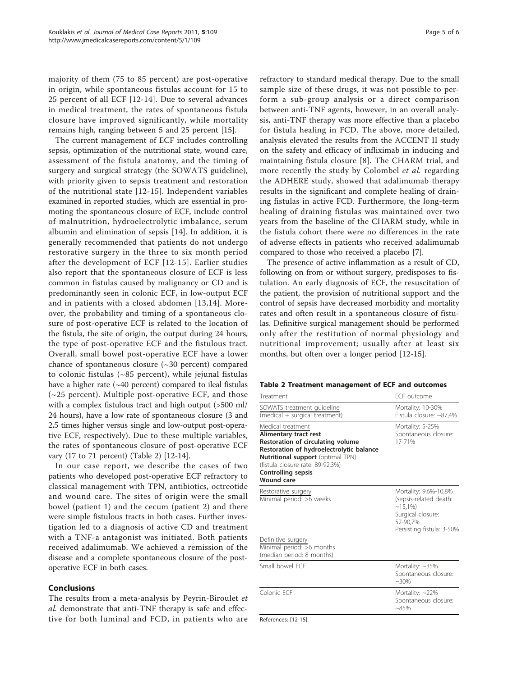majority of them (75 to 85 percent) are post-operative in origin, while spontaneous fistulas account for 15 to 25 percent of all ECF [[12](#page-5-0)-[14](#page-5-0)]. Due to several advances in medical treatment, the rates of spontaneous fistula closure have improved significantly, while mortality remains high, ranging between 5 and 25 percent [\[15](#page-5-0)].

The current management of ECF includes controlling sepsis, optimization of the nutritional state, wound care, assessment of the fistula anatomy, and the timing of surgery and surgical strategy (the SOWATS guideline), with priority given to sepsis treatment and restoration of the nutritional state [[12](#page-5-0)-[15\]](#page-5-0). Independent variables examined in reported studies, which are essential in promoting the spontaneous closure of ECF, include control of malnutrition, hydroelectrolytic imbalance, serum albumin and elimination of sepsis [\[14](#page-5-0)]. In addition, it is generally recommended that patients do not undergo restorative surgery in the three to six month period after the development of ECF [[12-15\]](#page-5-0). Earlier studies also report that the spontaneous closure of ECF is less common in fistulas caused by malignancy or CD and is predominantly seen in colonic ECF, in low-output ECF and in patients with a closed abdomen [[13,14\]](#page-5-0). Moreover, the probability and timing of a spontaneous closure of post-operative ECF is related to the location of the fistula, the site of origin, the output during 24 hours, the type of post-operative ECF and the fistulous tract. Overall, small bowel post-operative ECF have a lower chance of spontaneous closure (~30 percent) compared to colonic fistulas (~85 percent), while jejunal fistulas have a higher rate  $(-40$  percent) compared to ileal fistulas  $(\sim 25$  percent). Multiple post-operative ECF, and those with a complex fistulous tract and high output (>500 ml/ 24 hours), have a low rate of spontaneous closure (3 and 2,5 times higher versus single and low-output post-operative ECF, respectively). Due to these multiple variables, the rates of spontaneous closure of post-operative ECF vary (17 to 71 percent) (Table 2) [\[12-14\]](#page-5-0).

In our case report, we describe the cases of two patients who developed post-operative ECF refractory to classical management with TPN, antibiotics, octreotide and wound care. The sites of origin were the small bowel (patient 1) and the cecum (patient 2) and there were simple fistulous tracts in both cases. Further investigation led to a diagnosis of active CD and treatment with a TNF-a antagonist was initiated. Both patients received adalimumab. We achieved a remission of the disease and a complete spontaneous closure of the postoperative ECF in both cases.

#### Conclusions

The results from a meta-analysis by Peyrin-Biroulet et al. demonstrate that anti-TNF therapy is safe and effective for both luminal and FCD, in patients who are refractory to standard medical therapy. Due to the small sample size of these drugs, it was not possible to perform a sub-group analysis or a direct comparison between anti-TNF agents, however, in an overall analysis, anti-TNF therapy was more effective than a placebo for fistula healing in FCD. The above, more detailed, analysis elevated the results from the ACCENT II study on the safety and efficacy of infliximab in inducing and maintaining fistula closure [[8](#page-5-0)]. The CHARM trial, and more recently the study by Colombel et al. regarding the ADHERE study, showed that adalimumab therapy results in the significant and complete healing of draining fistulas in active FCD. Furthermore, the long-term healing of draining fistulas was maintained over two years from the baseline of the CHARM study, while in the fistula cohort there were no differences in the rate of adverse effects in patients who received adalimumab compared to those who received a placebo [[7\]](#page-5-0).

The presence of active inflammation as a result of CD, following on from or without surgery, predisposes to fistulation. An early diagnosis of ECF, the resuscitation of the patient, the provision of nutritional support and the control of sepsis have decreased morbidity and mortality rates and often result in a spontaneous closure of fistulas. Definitive surgical management should be performed only after the restitution of normal physiology and nutritional improvement; usually after at least six months, but often over a longer period [[12](#page-5-0)-[15\]](#page-5-0).

|  |  |  | Table 2 Treatment management of ECF and outcomes |  |  |  |  |
|--|--|--|--------------------------------------------------|--|--|--|--|
|--|--|--|--------------------------------------------------|--|--|--|--|

| Treatment                                                                                                                                                                                                                                                            | FCF outcome                                                                                                                |
|----------------------------------------------------------------------------------------------------------------------------------------------------------------------------------------------------------------------------------------------------------------------|----------------------------------------------------------------------------------------------------------------------------|
| SOWATS treatment guideline<br>(medical + surgical treatment)                                                                                                                                                                                                         | Mortality: 10-30%<br>Fistula closure: ~87,4%                                                                               |
| Medical treatment<br><b>Alimentary tract rest</b><br>Restoration of circulating volume<br>Restoration of hydroelectrolytic balance<br><b>Nutritional support</b> (optimal TPN)<br>(fistula closure rate: 89-92,3%)<br><b>Controlling sepsis</b><br><b>Wound care</b> | Mortality: 5-25%<br>Spontaneous closure:<br>17-71%                                                                         |
| Restorative surgery<br>Minimal period: >6 weeks                                                                                                                                                                                                                      | Mortality: 9,6%-10,8%<br>(sepsis-related death:<br>$~15,1\%$<br>Surgical closure:<br>52-90.7%<br>Persisting fistula: 3-50% |
| Definitive surgery<br>Minimal period: >6 months<br>(median period: 8 months)                                                                                                                                                                                         |                                                                                                                            |
| Small bowel FCF                                                                                                                                                                                                                                                      | Mortality: $~135\%$<br>Spontaneous closure:<br>$~30\%$                                                                     |
| Colonic FCF                                                                                                                                                                                                                                                          | Mortality: ~22%<br>Spontaneous closure:<br>$~85\%$                                                                         |
| References: [12-15].                                                                                                                                                                                                                                                 |                                                                                                                            |